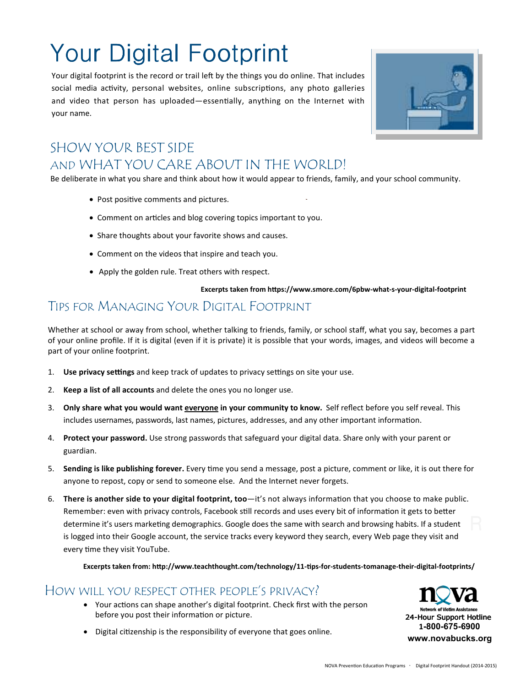# Your Digital Footprint

Your digital footprint is the record or trail left by the things you do online. That includes social media activity, personal websites, online subscriptions, any photo galleries and video that person has uploaded—essentially, anything on the Internet with your name.



### SHOW YOUR BEST SIDE AND WHAT YOU CARE ABOUT IN THE WORLD!

Be deliberate in what you share and think about how it would appear to friends, family, and your school community.

- Post positive comments and pictures.
- Comment on articles and blog covering topics important to you.
- Share thoughts about your favorite shows and causes.
- Comment on the videos that inspire and teach you.
- Apply the golden rule. Treat others with respect.

#### Excerpts taken from https://www.smore.com/6pbw-what-s-your-digital-footprint

### TIPS FOR MANAGING YOUR DIGITAL FOOTPRINT

Whether at school or away from school, whether talking to friends, family, or school staff, what you say, becomes a part of your online profile. If it is digital (even if it is private) it is possible that your words, images, and videos will become a part of your online footprint.

- 1. Use privacy settings and keep track of updates to privacy settings on site your use.
- 2. **Keep a list of all accounts** and delete the ones you no longer use.
- 3. **Only share what you would want everyone in your community to know.** Self reflect before you self reveal. This includes usernames, passwords, last names, pictures, addresses, and any other important information.
- 4. **Protect your password.** Use strong passwords that safeguard your digital data. Share only with your parent or guardian.
- 5. **Sending is like publishing forever.** Every time you send a message, post a picture, comment or like, it is out there for anyone to repost, copy or send to someone else. And the Internet never forgets.
- 6. **There is another side to your digital footprint, too**—it's not always information that you choose to make public. Remember: even with privacy controls, Facebook still records and uses every bit of information it gets to better determine it's users marketing demographics. Google does the same with search and browsing habits. If a student is logged into their Google account, the service tracks every keyword they search, every Web page they visit and every time they visit YouTube.

Excerpts taken from: http://www.teachthought.com/technology/11-tips-for-students-tomanage-their-digital-footprints/

#### HOW WILL YOU RESPECT OTHER PEOPLE'S PRIVACY?

- Your actions can shape another's digital footprint. Check first with the person before you post their information or picture.
- Digital citizenship is the responsibility of everyone that goes online.